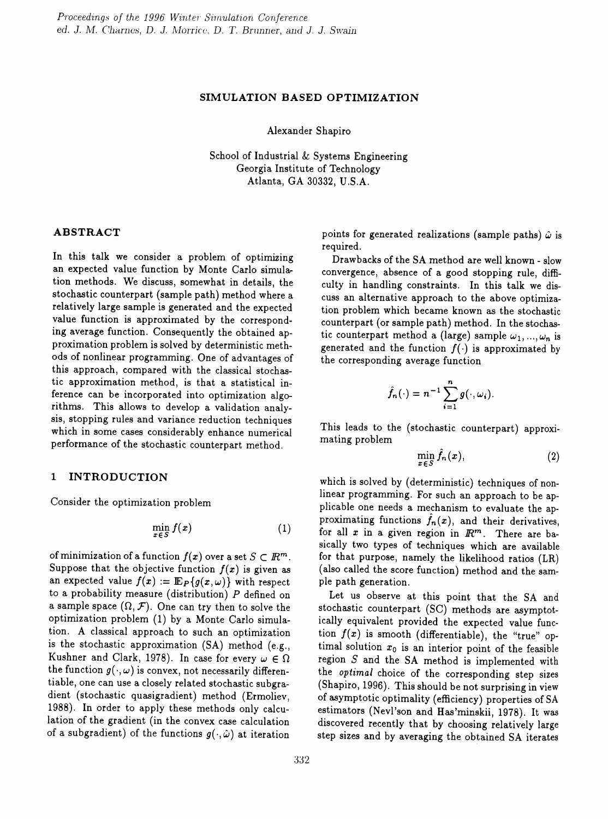#### SIMULATION BASED OPTIMIZATION

Alexander Shapiro

School of Industrial & Systems Engineering Georgia Institute of Technology Atlanta, GA 30332, U.S.A.

### ABSTRACT

In this talk we consider a problem of optimizing an expected value function by Monte Carlo simulation methods. We discuss, somewhat in details, the stochastic counterpart (sample path) method where a relatively large sample is generated and the expected value function is approximated by the corresponding average function. Consequently the obtained approximation problem is solved by deterministic methods of nonlinear programming. One of advantages of this approach, compared with the classical stochastic approximation method, is that a statistical inference can be incorporated into optimization algorithms. This allows to develop a validation analysis, stopping rules and variance reduction techniques which in some cases considerably enhance numerical performance of the stochastic counterpart method.

#### 1 INTRODUCTION

Consider the optimization problem

$$
\min_{x \in S} f(x) \tag{1}
$$

of minimization of a function  $f(x)$  over a set  $S \subset \mathbb{R}^m$ . Suppose that the objective function  $f(x)$  is given as an expected value  $f(x) := \mathbb{E}_{P}\{g(x,\omega)\}\)$  with respect to a probability measure (distribution) *P* defined on a sample space  $(\Omega, \mathcal{F})$ . One can try then to solve the optimization problem (1) by a Monte Carlo simulation. A classical approach to such an optimization is the stochastic approximation (SA) method (e.g., Kushner and Clark, 1978). In case for every  $\omega \in \Omega$ the function  $g(\cdot,\omega)$  is convex, not necessarily differentiable, one can use a closely related stochastic subgradient (stochastic quasigradient) method (Ermoliev, 1988). In order to apply these methods only calculation of the gradient (in the convex case calculation of a subgradient) of the functions  $g(\cdot, \hat{\omega})$  at iteration

points for generated realizations (sample paths)  $\hat{\omega}$  is required.

Drawbacks of the SA method are well known - slow convergence, absence of a good stopping rule, difficulty in handling constraints. In this talk we discuss an alternative approach to the above optimization problem which became known as the stochastic counterpart (or sample path) method. In the stochastic counterpart method a (large) sample  $\omega_1, ..., \omega_n$  is generated and the function  $f(\cdot)$  is approximated by the corresponding average function

$$
\hat{f}_n(\cdot) = n^{-1} \sum_{i=1}^n g(\cdot, \omega_i).
$$

This leads to the (stochastic counterpart) approximating problem

$$
\min_{x \in S} \hat{f}_n(x),\tag{2}
$$

which is solved by (deterministic) techniques of nonlinear programming. For such an approach to be applicable one needs a mechanism to evaluate the approximating functions  $f_n(x)$ , and their derivatives, for all x in a given region in */R<sup>m</sup> .* There are basically two types of techniques which are available for that purpose, namely the likelihood ratios (LR) (also called the score function) method and the sample path generation.

Let us observe at this point that the SA and stochastic counterpart (SC) methods are asymptotically equivalent provided the expected value function  $f(x)$  is smooth (differentiable), the "true" optimal solution  $x_0$  is an interior point of the feasible region  $S$  and the SA method is implemented with the *optimal* choice of the corresponding step sizes (Shapiro, 1996). This should be not surprising in view of asymptotic optimality (efficiency) properties of SA estimators (Nevl'son and Has'minskii, 1978). It was discovered recently that by choosing relatively large step sizes and by averaging the obtained SA iterates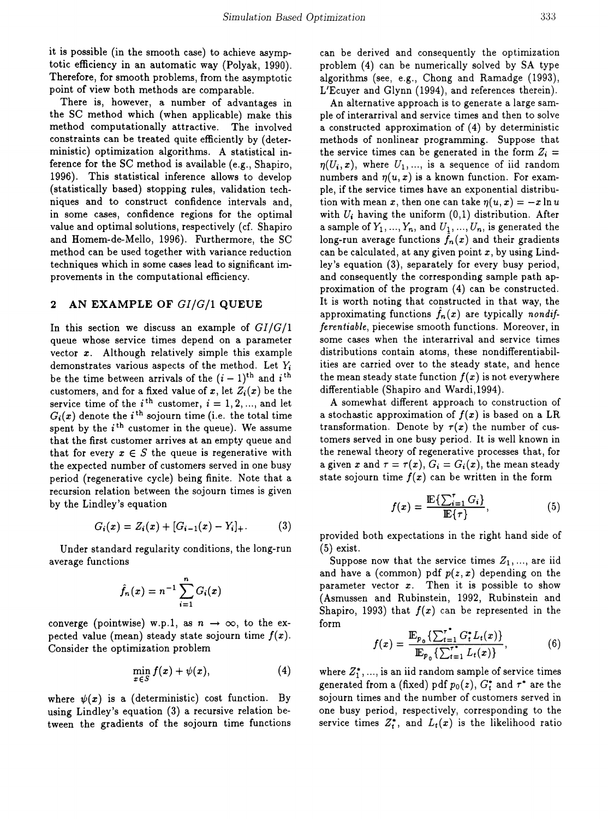it is possible (in the smooth *case)* to achieve asymptotic efficiency in an automatic way (Polyak, 1990). Therefore, for smooth problems, from the asymptotic point of view both methods are comparable.

There is, however, a number of advantages in the SC method which (when applicable) make this method computationally attractive. The involved constraints can be treated quite efficiently by (deterministic) optimization algorithms. A statistical inference for the SC method is available (e.g., Shapiro, 1996). This statistical inference allows to develop (statistically based) stopping rules, validation techniques and to construct confidence intervals and, in some cases, confidence regions for the optimal value and optimal solutions, respectively (cf. Shapiro and Homem-de-Mello, 1996). Furthermore, the SC method can be used together with variance reduction techniques which in some *cases* lead to significant improvements in the computational efficiency.

# 2 AN EXAMPLE OF *GI/G/I* QUEUE

In this section we discuss an example of *GI/G/1* queue whose service times depend on a parameter vector *x.* Although relatively simple this example demonstrates various aspects of the method. Let *Yi* be the time between arrivals of the  $(i - 1)$ <sup>th</sup> and i<sup>th</sup> customers, and for a fixed value of x, let  $Z_i(x)$  be the service time of the  $i^{\text{th}}$  customer,  $i = 1, 2, ...,$  and let  $G_i(x)$  denote the *i*<sup>th</sup> sojourn time (i.e. the total time spent by the  $i^{\text{th}}$  customer in the queue). We assume that the first customer arrives at an empty queue and that for every  $x \in S$  the queue is regenerative with the expected number of customers served in one busy period (regenerative cycle) being finite. Note that a recursion relation between the sojourn times is given by the Lindley's equation

$$
G_i(x) = Z_i(x) + [G_{i-1}(x) - Y_i]_+.
$$
 (3)

Under standard regularity conditions, the long-run average functions

$$
\hat{f}_n(x)=n^{-1}\sum_{i=1}^nG_i(x)
$$

converge (pointwise) w.p.1, as  $n \to \infty$ , to the expected value (mean) steady state sojourn time  $f(x)$ . Consider the optimization problem

$$
\min_{x\in S} f(x) + \psi(x), \tag{4}
$$

where  $\psi(x)$  is a (deterministic) cost function. By using Lindley's equation (3) a recursive relation between the gradients of the sojourn time functions can be derived and consequently the optimization problem (4) can be numerically solved by SA type algorithms (see, e.g., Chong and Ramadge (1993), L'Ecuyer and Glynn (1994), and references therein).

An alternative approach is to generate a large sample of interarrival and service times and then to solve a constructed approximation of (4) by deterministic methods of nonlinear programming. Suppose that the service times can be generated in the form  $Z_i =$  $\eta(U_i, x)$ , where  $U_1, \ldots$ , is a sequence of iid random numbers and  $\eta(u, x)$  is a known function. For example, if the service times have an exponential distribution with mean *x*, then one can take  $\eta(u, x) = -x \ln u$ with  $U_i$  having the uniform  $(0,1)$  distribution. After a sample of  $Y_1, ..., Y_n$ , and  $U_1, ..., U_n$ , is generated the long-run average functions  $f_n(x)$  and their gradients can be calculated, at any given point  $x$ , by using Lindley's equation (3), separately for every busy period, and consequently the corresponding sample path approximation of the program (4) can be constructed. It is worth noting that constructed in that way, the approximating functions  $f_n(x)$  are typically *nondifferentiable,* piecewise smooth functions. Moreover, in some cases when the interarrival and service times distributions contain atoms, these nondifferentiabilities are carried over to the steady state, and hence the mean steady state function  $f(x)$  is not everywhere differentiable (Shapiro and Wardi, 1994).

A somewhat different approach to construction of a stochastic approximation of  $f(x)$  is based on a LR transformation. Denote by  $\tau(x)$  the number of customers served in one busy period. It is well known in the renewal theory of regenerative processes that, for a given x and  $\tau = \tau(x)$ ,  $G_i = G_i(x)$ , the mean steady state sojourn time  $f(x)$  can be written in the form

$$
f(x) = \frac{\mathbb{E}\left\{\sum_{i=1}^{r} G_i\right\}}{\mathbb{E}\{\tau\}},\tag{5}
$$

provided both expectations in the right hand side of (5) exist.

Suppose now that the service times  $Z_1, \ldots$ , are iid and have a (common) pdf  $p(z, x)$  depending on the parameter vector *x.* Then it is possible to show (Asmussen and Rubinstein, 1992, Rubinstein and Shapiro, 1993) that  $f(x)$  can be represented in the form

$$
f(x) = \frac{\mathbb{E}_{p_0} \{ \sum_{t=1}^{T} G_t^* L_t(x) \}}{\mathbb{E}_{p_0} \{ \sum_{t=1}^{T} L_t(x) \}}, \tag{6}
$$

where  $Z_1^*$ , ..., is an iid random sample of service times generated from a (fixed) pdf  $p_0(z)$ ,  $G_t^*$  and  $\tau^*$  are the sojourn times and the number of customers served in one busy period, respectively, corresponding to the service times  $Z_t^*$ , and  $L_t(x)$  is the likelihood ratio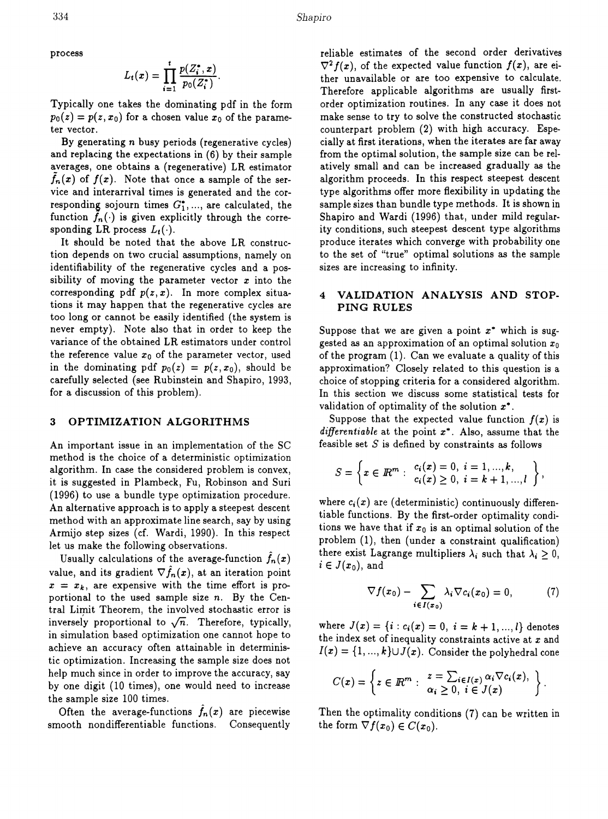process

$$
L_i(x) = \prod_{i=1}^t \frac{p(Z_i^*, x)}{p_0(Z_i^*)}.
$$

Typically one takes the dominating pdf in the form  $p_0(z) = p(z, x_0)$  for a chosen value  $x_0$  of the parameter vector.

By generating  $n$  busy periods (regenerative cycles) and replacing the expectations in (6) by their sample averages, one obtains a (regenerative) LR estimator  $f_n(x)$  of  $f(x)$ . Note that once a sample of the service and interarrival times is generated and the corresponding sojourn times  $G_1^*$ , ..., are calculated, the function  $f_n(\cdot)$  is given explicitly through the corresponding LR process  $L_t(\cdot)$ .

It should be noted that the above LR construction depends on two crucial assumptions, namely on identifiability of the regenerative cycles and a possibility of moving the parameter vector *x* into the corresponding pdf  $p(z, x)$ . In more complex situations it may happen that the regenerative cycles are too long or cannot be easily identified (the system is never empty). Note also that in order to keep the variance of the obtained LR estimators under control the reference value  $x_0$  of the parameter vector, used in the dominating pdf  $p_0(z) = p(z, x_0)$ , should be carefully selected (see Rubinstein and Shapiro, 1993, for a discussion of this problem).

### 3 OPTIMIZATION ALGORITHMS

An important issue in an implementation of the SC method is the choice of a deterministic optimization algorithm. In case the considered problem is convex, it is suggested in Plambeck, Fu, Robinson and Suri (1996) to use a bundle type optimization procedure. An alternative approach is to apply a steepest descent method with an approximate line search, say by using Armijo step sizes (cf. Wardi, 1990). In this respect let us make the following observations.

Usually calculations of the average-function  $f_n(x)$ value, and its gradient  $\nabla \hat{f}_n(x)$ , at an iteration point  $x = x_k$ , are expensive with the time effort is proportional to the used sample size *n.* By the Central Limit Theorem, the involved stochastic error is inversely proportional to  $\sqrt{n}$ . Therefore, typically, in simulation based optimization one cannot hope to achieve an accuracy often attainable in deterministic optimization. Increasing the sample size does not help much since in order to improve the accuracy, say by one digit (10 times), one would need to increase the sample size 100 times.

Often the average-functions  $f_n(x)$  are piecewise smooth nondifferentiable functions. Consequently

reliable estimates of the second order derivatives  $\nabla^2 f(x)$ , of the expected value function  $f(x)$ , are either unavailable or are too expensive to calculate. Therefore applicable algorithms are usually firstorder optimization routines. In any case it does not make sense to try to solve the constructed stochastic counterpart problem (2) with high accuracy. Especially at first iterations, when the iterates are far away from the optimal solution, the sample size can be relatively small and can be increased gradually *as* the algorithm proceeds. In this respect steepest descent type algorithms offer more flexibility in updating the sample sizes than bundle type methods. It is shown in Shapiro and Wardi (1996) that, under mild regularity conditions, such steepest descent type algorithms produce iterates which converge with probability one to the set of "true" optimal solutions as the sample sizes are increasing to infinity.

### 4 VALIDATION ANALYSIS AND STOP-PING RULES

Suppose that we are given a point  $x^*$  which is suggested as an approximation of an optimal solution  $x_0$ of the program (1). Can we evaluate a quality of this approximation? Closely related to this question is a choice of stopping criteria for a considered algorithm. In this section we discuss some statistical tests for validation of optimality of the solution *x·.*

Suppose that the expected value function  $f(x)$  is *differentiable* at the point *x·.* Also, assume that the feasible set  $S$  is defined by constraints as follows

$$
S = \left\{ x \in \mathbb{R}^m : \begin{array}{l} c_i(x) = 0, i = 1, ..., k, \\ c_i(x) \geq 0, i = k + 1, ..., l \end{array} \right\},\
$$

where  $c_i(x)$  are (deterministic) continuously differentiable functions. By the first-order optimality conditions we have that if  $x_0$  is an optimal solution of the problem (1), then (under a constraint qualification) there exist Lagrange multipliers  $\lambda_i$  such that  $\lambda_i \geq 0$ ,  $i \in J(x_0)$ , and

$$
\nabla f(x_0) - \sum_{i \in I(x_0)} \lambda_i \nabla c_i(x_0) = 0, \tag{7}
$$

where  $J(x) = \{i : c_i(x) = 0, i = k + 1, ..., l\}$  denotes the index set of inequality constraints active at *x* and  $I(x) = \{1, ..., k\} \cup J(x)$ . Consider the polyhedral cone

$$
C(x) = \left\{ z \in \mathbb{R}^m : \begin{array}{l} z = \sum_{i \in I(x)} \alpha_i \nabla c_i(x), \\ \alpha_i \geq 0, \ i \in J(x) \end{array} \right\}.
$$

Then the optimality conditions (7) can be written in the form  $\nabla f(x_0) \in C(x_0)$ .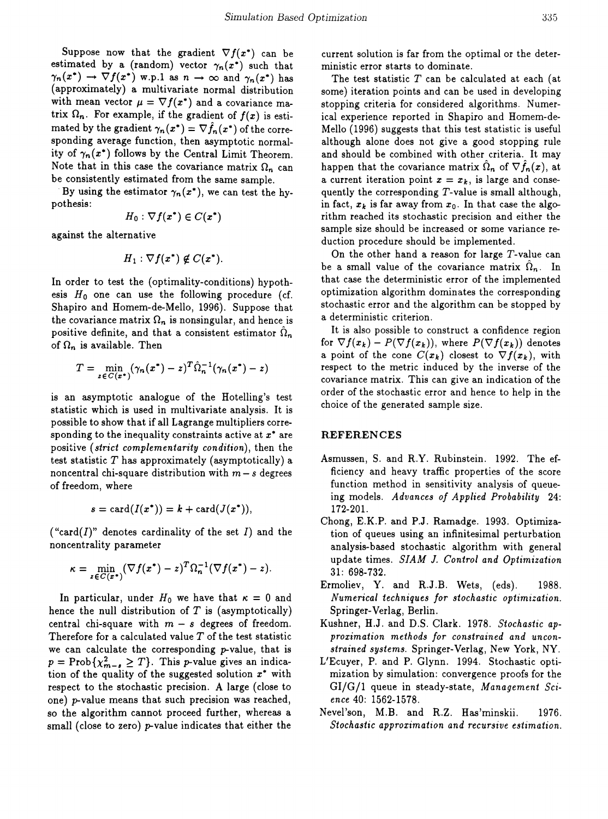Suppose now that the gradient  $\nabla f(x^*)$  can be estimated by a (random) vector  $\gamma_n(x^*)$  such that  $\gamma_n(x^*) \to \nabla f(x^*)$  w.p.1 as  $n \to \infty$  and  $\gamma_n(x^*)$  has (approximately) a multivariate normal distribution with mean vector  $\mu = \nabla f(x^*)$  and a covariance matrix  $\Omega_n$ . For example, if the gradient of  $f(x)$  is estimated by the gradient  $\gamma_n(x^*) = \nabla f_n(x^*)$  of the corresponding average function, then asymptotic normality of  $\gamma_n(x^*)$  follows by the Central Limit Theorem. Note that in this case the covariance matrix  $\Omega_n$  can be consistently estimated from the same sample.

By using the estimator  $\gamma_n(x^*)$ , we can test the hypothesis:

$$
H_0: \nabla f(x^*) \in C(x^*)
$$

against the alternative

$$
H_1: \nabla f(x^*) \notin C(x^*).
$$

In order to test the (optimality-conditions) hypothesis  $H_0$  one can use the following procedure (cf. Shapiro and Romem-de-Mello, 1996). Suppose that the covariance matrix  $\Omega_n$  is nonsingular, and hence is positive definite, and that a consistent estimator  $\Omega_n$ of  $\Omega_n$  is available. Then

$$
T = \min_{z \in C(x^*)} (\gamma_n(x^*) - z)^T \hat{\Omega}_n^{-1} (\gamma_n(x^*) - z)
$$

is an asymptotic analogue of the Rotelling's test statistic which is used in multivariate analysis. It is possible to show that if all Lagrange multipliers corresponding to the inequality constraints active at *x·* are positive *(strict complementarity condition),* then the test statistic *T* has approximately (asymptotically) a noncentral chi-square distribution with  $m - s$  degrees of freedom, where

$$
s = \operatorname{card}(I(x^*)) = k + \operatorname{card}(J(x^*)),
$$

("card(*I)"* denotes cardinality of the set *I)* and the noncentrality parameter

$$
\kappa = \min_{z \in C(x^*)} (\nabla f(x^*) - z)^T \Omega_n^{-1} (\nabla f(x^*) - z).
$$

In particular, under  $H_0$  we have that  $\kappa = 0$  and hence the null distribution of  $T$  is (asymptotically) central chi-square with  $m - s$  degrees of freedom. Therefore for a calculated value  $T$  of the test statistic we can calculate the corresponding  $p$ -value, that is  $p = \text{Prob}\{\chi^2_{m-s} \geq T\}.$  This p-value gives an indication of the quality of the suggested solution *x·* with respect to the stochastic precision. A large (close to one) p-value means that such precision was reached, so the algorithm cannot proceed further, whereas a small (close to zero)  $p$ -value indicates that either the current solution is far from the optimal or the deterministic error starts to dominate.

The test statistic *T* can be calculated at each (at some) iteration points and can be used in developing stopping criteria for considered algorithms. Numerical experience reported in Shapiro and Romem-de-Mello (1996) suggests that this test statistic is useful although alone does not give a good stopping rule and should be combined with other criteria. It may happen that the covariance matrix  $\Omega_n$  of  $\nabla f_n(x)$ , at a current iteration point  $x = x_k$ , is large and consequently the corresponding T-value is small although, in fact,  $x_k$  is far away from  $x_0$ . In that case the algorithm reached its stochastic precision and either the sample size should be increased or some variance reduction procedure should be implemented.

On the other hand a reason for large  $T$ -value can be a small value of the covariance matrix  $\Omega_n$ . In that case the deterministic error of the implemented optimization algorithm dominates the corresponding stochastic error and the algorithm can be stopped by a deterministic criterion.

It is also possible to construct a confidence region for  $\nabla f(x_k) - P(\nabla f(x_k))$ , where  $P(\nabla f(x_k))$  denotes a point of the cone  $C(x_k)$  closest to  $\nabla f(x_k)$ , with respect to the metric induced by the inverse of the covariance matrix. This can give an indication of the order of the stochastic error and hence to help in the choice of the generated sample size.

# REFERENCES

- Asmussen, S. and R.Y. Rubinstein. 1992. The efficiency and heavy traffic properties of the score function method in sensitivity analysis of queueing models. *Advances of Applied Probability* 24: 172-201.
- Chong, E.K.P. and P.J. Ramadge. 1993. Optimization of queues using an infinitesimal perturbation analysis-based stochastic algorithm with general update times. *SIAM* J. *Control and Optimization* 31: 698-732.
- Ermoliev, Y. and R.J.B. Wets, (eds). 1988. *Numerical techniques for stochastic optimization.* Springer-Verlag, Berlin.
- Kushner, H.J. and D.S. Clark. 1978. *Stochastic approximation methods for constrained and unconstrained systems.* Springer-Verlag, New York, NY.
- L'Ecuyer, P. and P. Glynn. 1994. Stochastic optimization by simulation: convergence proofs for the GI/G/1 queue in steady-state, *Management Science* 40: 1562-1578.
- Nevel'son, M.B. and R.Z. Has'minskii. 1976. *Stochastic approximation and recursive estimation.*